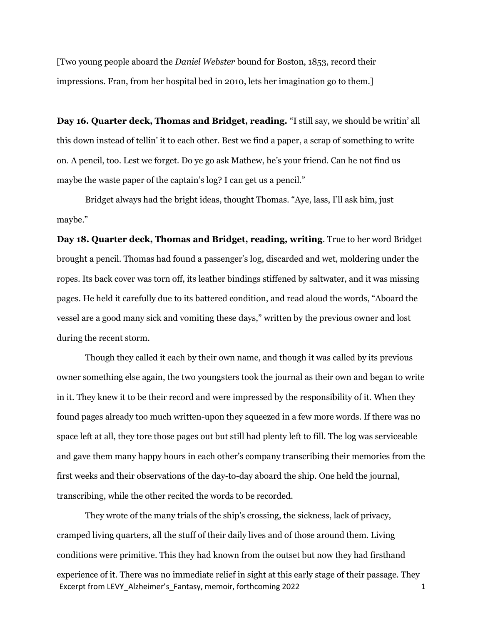[Two young people aboard the Daniel Webster bound for Boston, 1853, record their impressions. Fran, from her hospital bed in 2010, lets her imagination go to them.]

Day 16. Quarter deck, Thomas and Bridget, reading. "I still say, we should be writin' all this down instead of tellin' it to each other. Best we find a paper, a scrap of something to write on. A pencil, too. Lest we forget. Do ye go ask Mathew, he's your friend. Can he not find us maybe the waste paper of the captain's log? I can get us a pencil."

Bridget always had the bright ideas, thought Thomas. "Aye, lass, I'll ask him, just maybe."

Day 18. Quarter deck, Thomas and Bridget, reading, writing. True to her word Bridget brought a pencil. Thomas had found a passenger's log, discarded and wet, moldering under the ropes. Its back cover was torn off, its leather bindings stiffened by saltwater, and it was missing pages. He held it carefully due to its battered condition, and read aloud the words, "Aboard the vessel are a good many sick and vomiting these days," written by the previous owner and lost during the recent storm.

Though they called it each by their own name, and though it was called by its previous owner something else again, the two youngsters took the journal as their own and began to write in it. They knew it to be their record and were impressed by the responsibility of it. When they found pages already too much written-upon they squeezed in a few more words. If there was no space left at all, they tore those pages out but still had plenty left to fill. The log was serviceable and gave them many happy hours in each other's company transcribing their memories from the first weeks and their observations of the day-to-day aboard the ship. One held the journal, transcribing, while the other recited the words to be recorded.

Excerpt from LEVY\_Alzheimer's Fantasy, memoir, forthcoming 2022 1 They wrote of the many trials of the ship's crossing, the sickness, lack of privacy, cramped living quarters, all the stuff of their daily lives and of those around them. Living conditions were primitive. This they had known from the outset but now they had firsthand experience of it. There was no immediate relief in sight at this early stage of their passage. They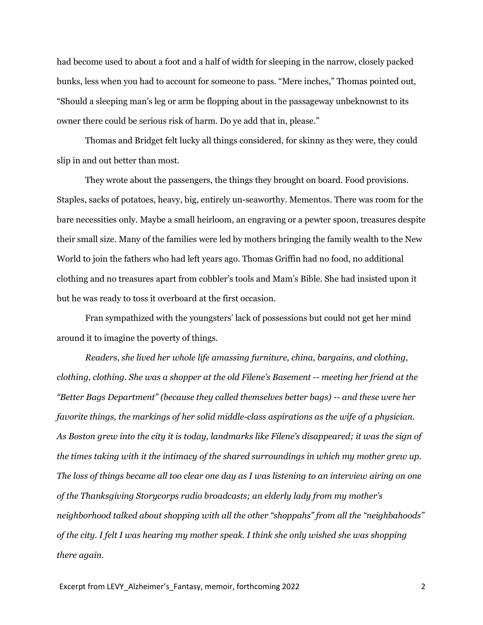had become used to about a foot and a half of width for sleeping in the narrow, closely packed bunks, less when you had to account for someone to pass. "Mere inches," Thomas pointed out, "Should a sleeping man's leg or arm be flopping about in the passageway unbeknownst to its owner there could be serious risk of harm. Do ye add that in, please."

Thomas and Bridget felt lucky all things considered, for skinny as they were, they could slip in and out better than most.

They wrote about the passengers, the things they brought on board. Food provisions. Staples, sacks of potatoes, heavy, big, entirely un-seaworthy. Mementos. There was room for the bare necessities only. Maybe a small heirloom, an engraving or a pewter spoon, treasures despite their small size. Many of the families were led by mothers bringing the family wealth to the New World to join the fathers who had left years ago. Thomas Griffin had no food, no additional clothing and no treasures apart from cobbler's tools and Mam's Bible. She had insisted upon it but he was ready to toss it overboard at the first occasion.

Fran sympathized with the youngsters' lack of possessions but could not get her mind around it to imagine the poverty of things.

Readers, she lived her whole life amassing furniture, china, bargains, and clothing, clothing, clothing. She was a shopper at the old Filene's Basement -- meeting her friend at the "Better Bags Department" (because they called themselves better bags) -- and these were her favorite things, the markings of her solid middle-class aspirations as the wife of a physician. As Boston grew into the city it is today, landmarks like Filene's disappeared; it was the sign of the times taking with it the intimacy of the shared surroundings in which my mother grew up. The loss of things became all too clear one day as I was listening to an interview airing on one of the Thanksgiving Storycorps radio broadcasts; an elderly lady from my mother's neighborhood talked about shopping with all the other "shoppahs" from all the "neighbahoods" of the city. I felt I was hearing my mother speak. I think she only wished she was shopping there again.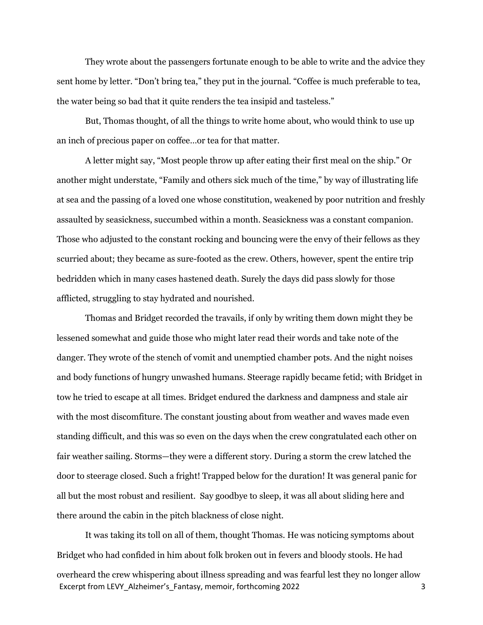They wrote about the passengers fortunate enough to be able to write and the advice they sent home by letter. "Don't bring tea," they put in the journal. "Coffee is much preferable to tea, the water being so bad that it quite renders the tea insipid and tasteless."

But, Thomas thought, of all the things to write home about, who would think to use up an inch of precious paper on coffee…or tea for that matter.

A letter might say, "Most people throw up after eating their first meal on the ship." Or another might understate, "Family and others sick much of the time," by way of illustrating life at sea and the passing of a loved one whose constitution, weakened by poor nutrition and freshly assaulted by seasickness, succumbed within a month. Seasickness was a constant companion. Those who adjusted to the constant rocking and bouncing were the envy of their fellows as they scurried about; they became as sure-footed as the crew. Others, however, spent the entire trip bedridden which in many cases hastened death. Surely the days did pass slowly for those afflicted, struggling to stay hydrated and nourished.

Thomas and Bridget recorded the travails, if only by writing them down might they be lessened somewhat and guide those who might later read their words and take note of the danger. They wrote of the stench of vomit and unemptied chamber pots. And the night noises and body functions of hungry unwashed humans. Steerage rapidly became fetid; with Bridget in tow he tried to escape at all times. Bridget endured the darkness and dampness and stale air with the most discomfiture. The constant jousting about from weather and waves made even standing difficult, and this was so even on the days when the crew congratulated each other on fair weather sailing. Storms—they were a different story. During a storm the crew latched the door to steerage closed. Such a fright! Trapped below for the duration! It was general panic for all but the most robust and resilient. Say goodbye to sleep, it was all about sliding here and there around the cabin in the pitch blackness of close night.

Excerpt from LEVY\_Alzheimer's\_Fantasy, memoir, forthcoming 2022 3 It was taking its toll on all of them, thought Thomas. He was noticing symptoms about Bridget who had confided in him about folk broken out in fevers and bloody stools. He had overheard the crew whispering about illness spreading and was fearful lest they no longer allow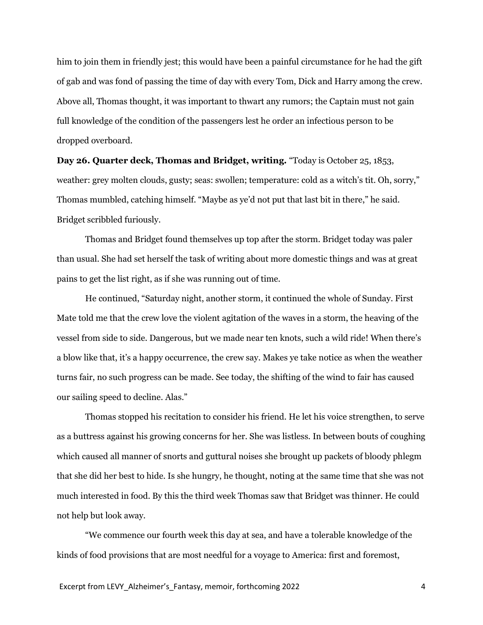him to join them in friendly jest; this would have been a painful circumstance for he had the gift of gab and was fond of passing the time of day with every Tom, Dick and Harry among the crew. Above all, Thomas thought, it was important to thwart any rumors; the Captain must not gain full knowledge of the condition of the passengers lest he order an infectious person to be dropped overboard.

Day 26. Quarter deck, Thomas and Bridget, writing. "Today is October 25, 1853, weather: grey molten clouds, gusty; seas: swollen; temperature: cold as a witch's tit. Oh, sorry," Thomas mumbled, catching himself. "Maybe as ye'd not put that last bit in there," he said. Bridget scribbled furiously.

Thomas and Bridget found themselves up top after the storm. Bridget today was paler than usual. She had set herself the task of writing about more domestic things and was at great pains to get the list right, as if she was running out of time.

He continued, "Saturday night, another storm, it continued the whole of Sunday. First Mate told me that the crew love the violent agitation of the waves in a storm, the heaving of the vessel from side to side. Dangerous, but we made near ten knots, such a wild ride! When there's a blow like that, it's a happy occurrence, the crew say. Makes ye take notice as when the weather turns fair, no such progress can be made. See today, the shifting of the wind to fair has caused our sailing speed to decline. Alas."

Thomas stopped his recitation to consider his friend. He let his voice strengthen, to serve as a buttress against his growing concerns for her. She was listless. In between bouts of coughing which caused all manner of snorts and guttural noises she brought up packets of bloody phlegm that she did her best to hide. Is she hungry, he thought, noting at the same time that she was not much interested in food. By this the third week Thomas saw that Bridget was thinner. He could not help but look away.

"We commence our fourth week this day at sea, and have a tolerable knowledge of the kinds of food provisions that are most needful for a voyage to America: first and foremost,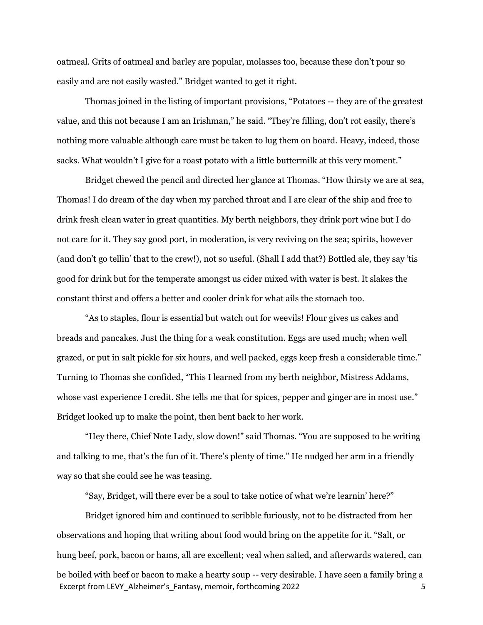oatmeal. Grits of oatmeal and barley are popular, molasses too, because these don't pour so easily and are not easily wasted." Bridget wanted to get it right.

Thomas joined in the listing of important provisions, "Potatoes -- they are of the greatest value, and this not because I am an Irishman," he said. "They're filling, don't rot easily, there's nothing more valuable although care must be taken to lug them on board. Heavy, indeed, those sacks. What wouldn't I give for a roast potato with a little buttermilk at this very moment."

Bridget chewed the pencil and directed her glance at Thomas. "How thirsty we are at sea, Thomas! I do dream of the day when my parched throat and I are clear of the ship and free to drink fresh clean water in great quantities. My berth neighbors, they drink port wine but I do not care for it. They say good port, in moderation, is very reviving on the sea; spirits, however (and don't go tellin' that to the crew!), not so useful. (Shall I add that?) Bottled ale, they say 'tis good for drink but for the temperate amongst us cider mixed with water is best. It slakes the constant thirst and offers a better and cooler drink for what ails the stomach too.

"As to staples, flour is essential but watch out for weevils! Flour gives us cakes and breads and pancakes. Just the thing for a weak constitution. Eggs are used much; when well grazed, or put in salt pickle for six hours, and well packed, eggs keep fresh a considerable time." Turning to Thomas she confided, "This I learned from my berth neighbor, Mistress Addams, whose vast experience I credit. She tells me that for spices, pepper and ginger are in most use." Bridget looked up to make the point, then bent back to her work.

"Hey there, Chief Note Lady, slow down!" said Thomas. "You are supposed to be writing and talking to me, that's the fun of it. There's plenty of time." He nudged her arm in a friendly way so that she could see he was teasing.

"Say, Bridget, will there ever be a soul to take notice of what we're learnin' here?"

Excerpt from LEVY\_Alzheimer's Fantasy, memoir, forthcoming 2022 5 Bridget ignored him and continued to scribble furiously, not to be distracted from her observations and hoping that writing about food would bring on the appetite for it. "Salt, or hung beef, pork, bacon or hams, all are excellent; veal when salted, and afterwards watered, can be boiled with beef or bacon to make a hearty soup -- very desirable. I have seen a family bring a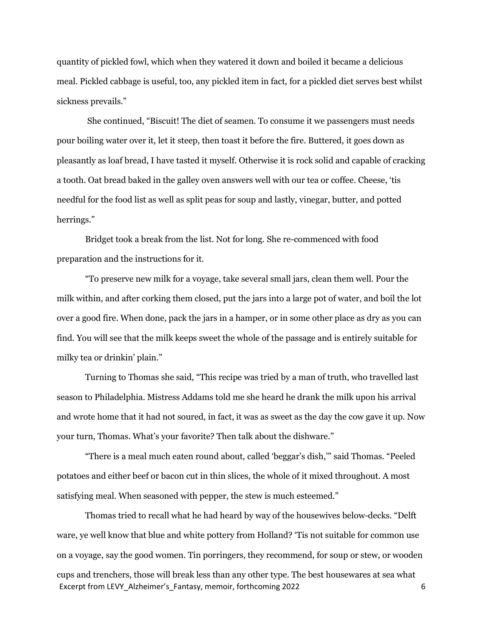quantity of pickled fowl, which when they watered it down and boiled it became a delicious meal. Pickled cabbage is useful, too, any pickled item in fact, for a pickled diet serves best whilst sickness prevails."

 She continued, "Biscuit! The diet of seamen. To consume it we passengers must needs pour boiling water over it, let it steep, then toast it before the fire. Buttered, it goes down as pleasantly as loaf bread, I have tasted it myself. Otherwise it is rock solid and capable of cracking a tooth. Oat bread baked in the galley oven answers well with our tea or coffee. Cheese, 'tis needful for the food list as well as split peas for soup and lastly, vinegar, butter, and potted herrings."

Bridget took a break from the list. Not for long. She re-commenced with food preparation and the instructions for it.

"To preserve new milk for a voyage, take several small jars, clean them well. Pour the milk within, and after corking them closed, put the jars into a large pot of water, and boil the lot over a good fire. When done, pack the jars in a hamper, or in some other place as dry as you can find. You will see that the milk keeps sweet the whole of the passage and is entirely suitable for milky tea or drinkin' plain."

Turning to Thomas she said, "This recipe was tried by a man of truth, who travelled last season to Philadelphia. Mistress Addams told me she heard he drank the milk upon his arrival and wrote home that it had not soured, in fact, it was as sweet as the day the cow gave it up. Now your turn, Thomas. What's your favorite? Then talk about the dishware."

"There is a meal much eaten round about, called 'beggar's dish,'" said Thomas. "Peeled potatoes and either beef or bacon cut in thin slices, the whole of it mixed throughout. A most satisfying meal. When seasoned with pepper, the stew is much esteemed."

Excerpt from LEVY\_Alzheimer's Fantasy, memoir, forthcoming 2022 6 Thomas tried to recall what he had heard by way of the housewives below-decks. "Delft ware, ye well know that blue and white pottery from Holland? 'Tis not suitable for common use on a voyage, say the good women. Tin porringers, they recommend, for soup or stew, or wooden cups and trenchers, those will break less than any other type. The best housewares at sea what